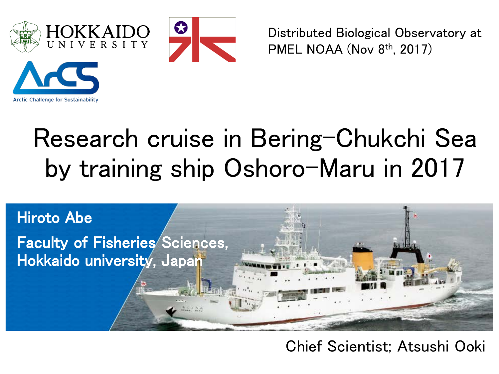



Distributed Biological Observatory at PMEL NOAA (Nov 8th, 2017)



# Research cruise in Bering-Chukchi Sea by training ship Oshoro-Maru in 2017



#### Chief Scientist; Atsushi Ooki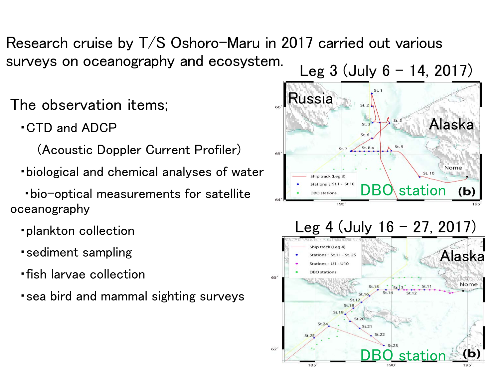### Research cruise by T/S Oshoro-Maru in 2017 carried out various surveys on oceanography and ecosystem.<br>Leg  $3$  (July  $6 - 14$ , 2017)

- The observation items;
	- ・CTD and ADCP
		- (Acoustic Doppler Current Profiler)
	- ・biological and chemical analyses of water
- ・bio-optical measurements for satellite oceanography
	- ・plankton collection
	- ・sediment sampling
	- ・fish larvae collection
	- ・sea bird and mammal sighting surveys



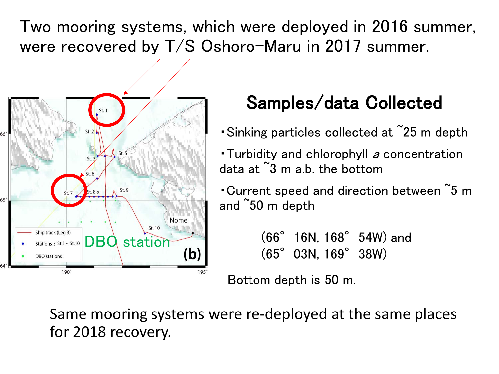Two mooring systems, which were deployed in 2016 summer, were recovered by T/S Oshoro-Maru in 2017 summer.



## Samples/data Collected

- ・Sinking particles collected at ~25 m depth
- Turbidity and chlorophyll a concentration data at <sup>~</sup>3 m a.b. the bottom
- ・Current speed and direction between ~5 m and ~50 m depth

DBO station (b) (66° 16N, 168° 54W) and (65° 03N, 169° 38W) (65°03N, 169°38W)

Bottom depth is 50 m.

Same mooring systems were re-deployed at the same places for 2018 recovery.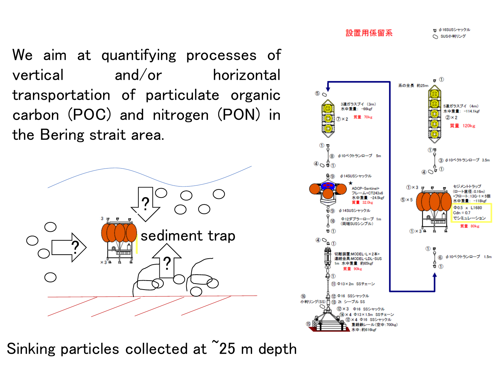We aim at quantifying processes of vertical and/or horizontal transportation of particulate organic carbon (POC) and nitrogen (PON) in the Bering strait area.



Sinking particles collected at <sup>25</sup> m depth



tj φ16SUSシャックル